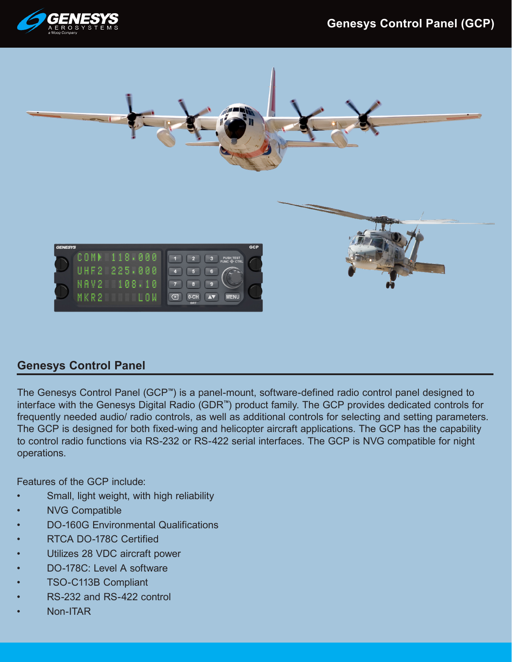



## **Genesys Control Panel**

The Genesys Control Panel (GCP**™**) is a panel-mount, software-defined radio control panel designed to interface with the Genesys Digital Radio (GDR**™**) product family. The GCP provides dedicated controls for frequently needed audio/ radio controls, as well as additional controls for selecting and setting parameters. The GCP is designed for both fixed-wing and helicopter aircraft applications. The GCP has the capability to control radio functions via RS-232 or RS-422 serial interfaces. The GCP is NVG compatible for night operations.

Features of the GCP include:

- Small, light weight, with high reliability
- NVG Compatible
- DO-160G Environmental Qualifications
- RTCA DO-178C Certified
- Utilizes 28 VDC aircraft power
- DO-178C: Level A software
- TSO-C113B Compliant
- RS-232 and RS-422 control
- Non-ITAR